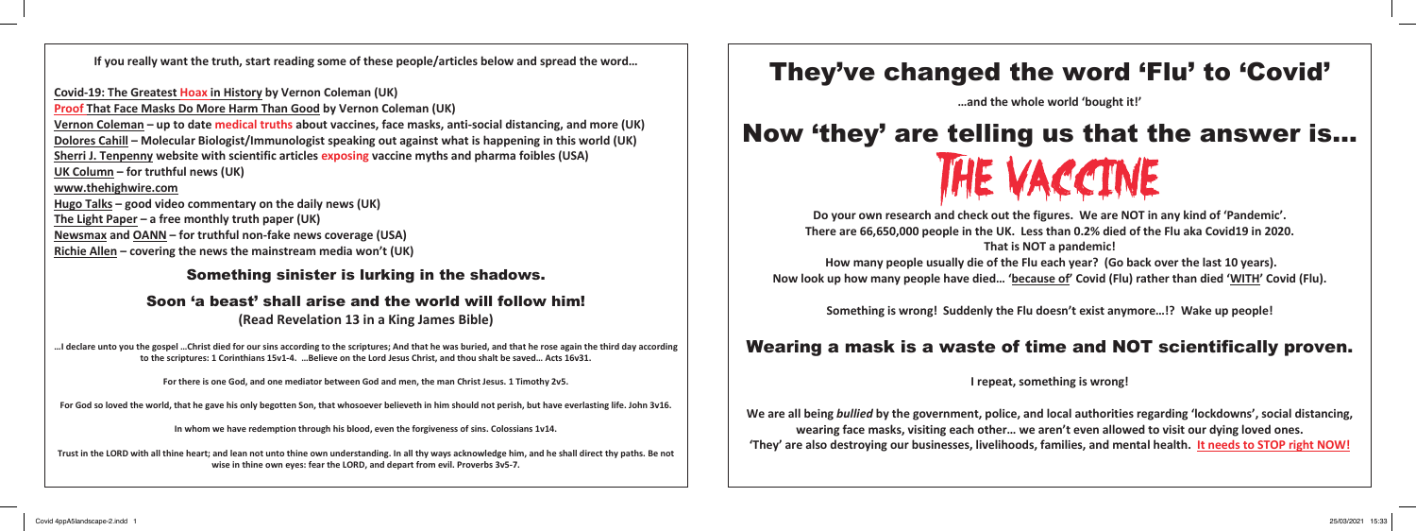# They've changed the word 'Flu' to 'Covid'

# Now 'they' are telling us that the answer is… THE VACCINE

**…and the whole world 'bought it!'**

**Do your own research and check out the figures. We are NOT in any kind of 'Pandemic'. There are 66,650,000 people in the UK. Less than 0.2% died of the Flu aka Covid19 in 2020. That is NOT a pandemic! How many people usually die of the Flu each year? (Go back over the last 10 years).**

**Now look up how many people have died… 'because of' Covid (Flu) rather than died 'WITH' Covid (Flu).**

**Something is wrong! Suddenly the Flu doesn't exist anymore…!? Wake up people!**

## Wearing a mask is a waste of time and NOT scientifically proven.

**I repeat, something is wrong!**

**We are all being** *bullied* **by the government, police, and local authorities regarding 'lockdowns', social distancing, wearing face masks, visiting each other… we aren't even allowed to visit our dying loved ones. 'They' are also destroying our businesses, livelihoods, families, and mental health. It needs to STOP right NOW!**

**If you really want the truth, start reading some of these people/articles below and spread the word…**

**Covid-19: The Greatest Hoax in History by Vernon Coleman (UK) Proof That Face Masks Do More Harm Than Good by Vernon Coleman (UK) Vernon Coleman – up to date medical truths about vaccines, face masks, anti-social distancing, and more (UK) Dolores Cahill – Molecular Biologist/Immunologist speaking out against what is happening in this world (UK) Sherri J. Tenpenny website with scientific articles exposing vaccine myths and pharma foibles (USA) UK Column – for truthful news (UK) www.thehighwire.com Hugo Talks – good video commentary on the daily news (UK) The Light Paper – a free monthly truth paper (UK) Newsmax and OANN – for truthful non-fake news coverage (USA) Richie Allen – covering the news the mainstream media won't (UK)**

### Something sinister is lurking in the shadows.

## Soon 'a beast' shall arise and the world will follow him!

**(Read Revelation 13 in a King James Bible)**

**…I declare unto you the gospel …Christ died for our sins according to the scriptures; And that he was buried, and that he rose again the third day according to the scriptures: 1 Corinthians 15v1-4. …Believe on the Lord Jesus Christ, and thou shalt be saved… Acts 16v31.**

**For there is one God, and one mediator between God and men, the man Christ Jesus. 1 Timothy 2v5.**

**For God so loved the world, that he gave his only begotten Son, that whosoever believeth in him should not perish, but have everlasting life. John 3v16.**

**In whom we have redemption through his blood, even the forgiveness of sins. Colossians 1v14.**

**Trust in the LORD with all thine heart; and lean not unto thine own understanding. In all thy ways acknowledge him, and he shall direct thy paths. Be not wise in thine own eyes: fear the LORD, and depart from evil. Proverbs 3v5-7.**